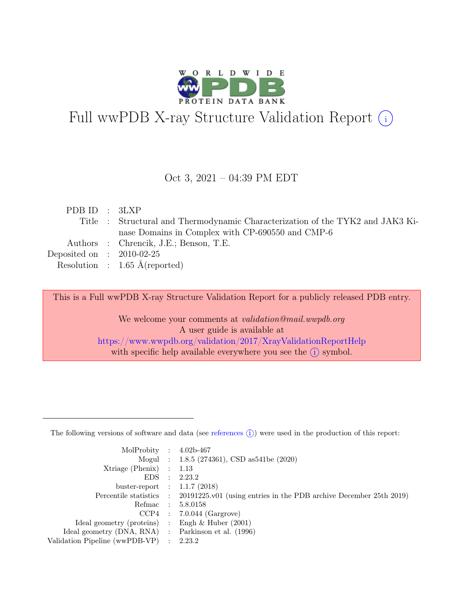

# Full wwPDB X-ray Structure Validation Report  $(i)$

#### Oct 3, 2021 – 04:39 PM EDT

| PDBID : 3LXP                |                                                                                |
|-----------------------------|--------------------------------------------------------------------------------|
|                             | Title : Structural and Thermodynamic Characterization of the TYK2 and JAK3 Ki- |
|                             | nase Domains in Complex with CP-690550 and CMP-6                               |
|                             | Authors : Chrencik, J.E.; Benson, T.E.                                         |
| Deposited on : $2010-02-25$ |                                                                                |
|                             | Resolution : $1.65 \text{ Å}$ (reported)                                       |

This is a Full wwPDB X-ray Structure Validation Report for a publicly released PDB entry.

We welcome your comments at validation@mail.wwpdb.org A user guide is available at <https://www.wwpdb.org/validation/2017/XrayValidationReportHelp> with specific help available everywhere you see the  $(i)$  symbol.

The following versions of software and data (see [references](https://www.wwpdb.org/validation/2017/XrayValidationReportHelp#references)  $(i)$ ) were used in the production of this report:

| MolProbity : $4.02b-467$                            |                                                                                            |
|-----------------------------------------------------|--------------------------------------------------------------------------------------------|
|                                                     | Mogul : 1.8.5 (274361), CSD as541be (2020)                                                 |
| $Xtriangle (Phenix)$ : 1.13                         |                                                                                            |
|                                                     | EDS : 2.23.2                                                                               |
| buster-report : $1.1.7$ (2018)                      |                                                                                            |
|                                                     | Percentile statistics : 20191225.v01 (using entries in the PDB archive December 25th 2019) |
| Refmac : 5.8.0158                                   |                                                                                            |
|                                                     | $CCP4$ : 7.0.044 (Gargrove)                                                                |
| Ideal geometry (proteins) : Engh $\&$ Huber (2001)  |                                                                                            |
| Ideal geometry (DNA, RNA) : Parkinson et al. (1996) |                                                                                            |
| Validation Pipeline (wwPDB-VP) : 2.23.2             |                                                                                            |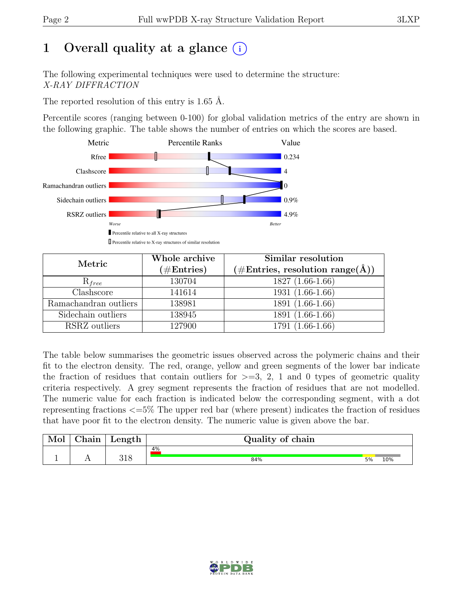# 1 Overall quality at a glance  $(i)$

The following experimental techniques were used to determine the structure: X-RAY DIFFRACTION

The reported resolution of this entry is 1.65 Å.

Percentile scores (ranging between 0-100) for global validation metrics of the entry are shown in the following graphic. The table shows the number of entries on which the scores are based.



| Metric                | Whole archive<br>$(\#Entries)$ | Similar resolution<br>$(\# \text{Entries}, \text{ resolution } \text{range}(\AA))$ |
|-----------------------|--------------------------------|------------------------------------------------------------------------------------|
| $R_{free}$            | 130704                         | $1827(1.66-1.66)$                                                                  |
| Clashscore            | 141614                         | $1931(1.66-1.66)$                                                                  |
| Ramachandran outliers | 138981                         | 1891 (1.66-1.66)                                                                   |
| Sidechain outliers    | 138945                         | 1891 (1.66-1.66)                                                                   |
| RSRZ outliers         | 127900                         | 1791 (1.66-1.66)                                                                   |

The table below summarises the geometric issues observed across the polymeric chains and their fit to the electron density. The red, orange, yellow and green segments of the lower bar indicate the fraction of residues that contain outliers for  $\geq$ =3, 2, 1 and 0 types of geometric quality criteria respectively. A grey segment represents the fraction of residues that are not modelled. The numeric value for each fraction is indicated below the corresponding segment, with a dot representing fractions <=5% The upper red bar (where present) indicates the fraction of residues that have poor fit to the electron density. The numeric value is given above the bar.

| Mol      | $\gamma$ hain | Length | Quality of chain |    |     |
|----------|---------------|--------|------------------|----|-----|
|          |               |        | 4%               |    |     |
| <b>.</b> | . .           | 318    | 84%              | 5% | 10% |

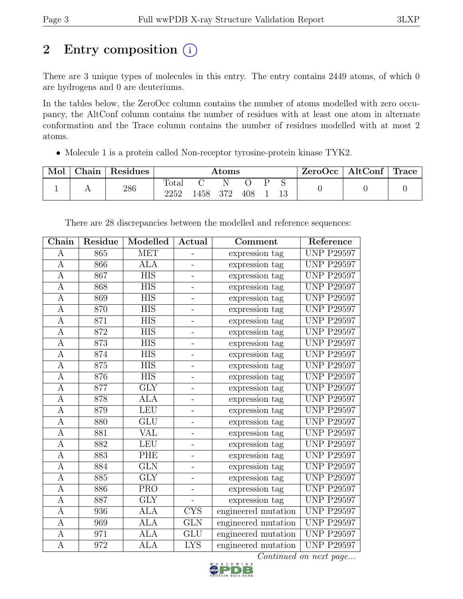# 2 Entry composition  $(i)$

There are 3 unique types of molecules in this entry. The entry contains 2449 atoms, of which 0 are hydrogens and 0 are deuteriums.

In the tables below, the ZeroOcc column contains the number of atoms modelled with zero occupancy, the AltConf column contains the number of residues with at least one atom in alternate conformation and the Trace column contains the number of residues modelled with at most 2 atoms.

• Molecule 1 is a protein called Non-receptor tyrosine-protein kinase TYK2.

| Mol | $\Box$ Chain | Residues | $\rm{Atoms}$      |      |     |     |  | ZeroOcc | $\vert$ AltConf $\vert$ | Trace |  |
|-----|--------------|----------|-------------------|------|-----|-----|--|---------|-------------------------|-------|--|
|     |              | 286      | Total<br>$2252\,$ | 1458 | 372 | 408 |  |         |                         |       |  |

| Chain          | Residue | Modelled                | Actual                   | Comment             | Reference         |
|----------------|---------|-------------------------|--------------------------|---------------------|-------------------|
| А              | 865     | <b>MET</b>              | -                        | expression tag      | <b>UNP P29597</b> |
| А              | 866     | ALA                     | $\overline{a}$           | expression tag      | <b>UNP P29597</b> |
| A              | 867     | <b>HIS</b>              | $\overline{\phantom{0}}$ | expression tag      | <b>UNP P29597</b> |
| A              | 868     | ${\rm HIS}$             | $\overline{\phantom{0}}$ | expression tag      | <b>UNP P29597</b> |
| А              | 869     | <b>HIS</b>              | $\overline{a}$           | expression tag      | <b>UNP P29597</b> |
| A              | 870     | <b>HIS</b>              | $\overline{\phantom{0}}$ | expression tag      | <b>UNP P29597</b> |
| $\mathbf{A}$   | 871     | <b>HIS</b>              | $\overline{\phantom{0}}$ | expression tag      | <b>UNP P29597</b> |
| A              | 872     | <b>HIS</b>              | $\overline{\phantom{0}}$ | expression tag      | <b>UNP P29597</b> |
| A              | 873     | <b>HIS</b>              | $\overline{\phantom{0}}$ | expression tag      | <b>UNP P29597</b> |
| $\mathbf{A}$   | 874     | $\overline{HIS}$        | $\overline{\phantom{0}}$ | expression tag      | <b>UNP P29597</b> |
| A              | 875     | <b>HIS</b>              | $\overline{\phantom{0}}$ | expression tag      | <b>UNP P29597</b> |
| A              | 876     | <b>HIS</b>              | $\overline{\phantom{0}}$ | expression tag      | <b>UNP P29597</b> |
| A              | 877     | $\overline{\text{GLY}}$ | $\overline{\phantom{0}}$ | expression tag      | <b>UNP P29597</b> |
| А              | 878     | <b>ALA</b>              | $\overline{a}$           | expression tag      | <b>UNP P29597</b> |
| A              | 879     | <b>LEU</b>              | $\overline{a}$           | expression tag      | <b>UNP P29597</b> |
| A              | 880     | GLU                     | $\overline{a}$           | expression tag      | <b>UNP P29597</b> |
| А              | 881     | VAL                     | $\overline{a}$           | expression tag      | <b>UNP P29597</b> |
| A              | 882     | <b>LEU</b>              | $\overline{a}$           | expression tag      | <b>UNP P29597</b> |
| А              | 883     | PHE                     | $\overline{\phantom{0}}$ | expression tag      | <b>UNP P29597</b> |
| А              | 884     | <b>GLN</b>              | $\overline{a}$           | expression tag      | <b>UNP P29597</b> |
| A              | 885     | <b>GLY</b>              | $\overline{\phantom{0}}$ | expression tag      | <b>UNP P29597</b> |
| A              | 886     | $\overline{\text{PRO}}$ | $\overline{\phantom{0}}$ | expression tag      | <b>UNP P29597</b> |
| А              | 887     | <b>GLY</b>              | $\overline{a}$           | expression tag      | <b>UNP P29597</b> |
| A              | 936     | ALA                     | <b>CYS</b>               | engineered mutation | <b>UNP P29597</b> |
| A              | 969     | <b>ALA</b>              | <b>GLN</b>               | engineered mutation | <b>UNP P29597</b> |
| A              | 971     | <b>ALA</b>              | <b>GLU</b>               | engineered mutation | <b>UNP P29597</b> |
| $\overline{A}$ | 972     | <b>ALA</b>              | <b>LYS</b>               | engineered mutation | <b>UNP P29597</b> |

There are 28 discrepancies between the modelled and reference sequences:

Continued on next page...

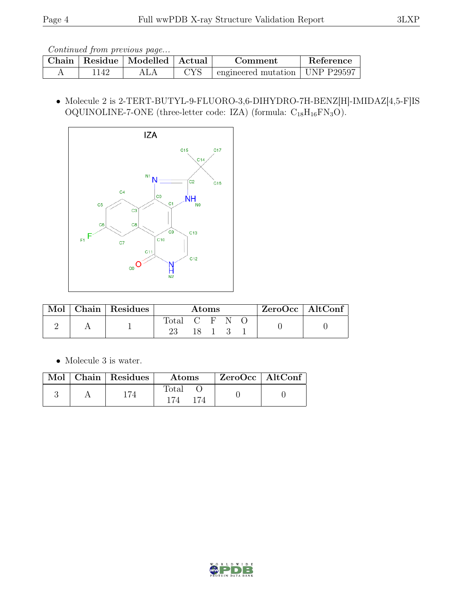Continued from previous page...

| Chain |     | Residue   Modelled   Actual |                    | Comment                                          | Reference |
|-------|-----|-----------------------------|--------------------|--------------------------------------------------|-----------|
|       | 14' | ALA                         | $\gamma_{\rm{VC}}$ | $\pm$ engineered mutation $\pm$ UNP P29597 $\pm$ |           |

 $\bullet$  Molecule 2 is 2-TERT-BUTYL-9-FLUORO-3,6-DIHYDRO-7H-BENZ[H]-IMIDAZ[4,5-F]IS OQUINOLINE-7-ONE (three-letter code: IZA) (formula:  $C_{18}H_{16}FN_3O$ ).



| $\operatorname{Mol}$ | Chain Residues | Atoms         |  |        | ZeroOcc   AltConf |  |  |
|----------------------|----------------|---------------|--|--------|-------------------|--|--|
|                      |                | Total C F N O |  |        |                   |  |  |
|                      |                |               |  | 18 1 3 |                   |  |  |

• Molecule 3 is water.

|  | $\blacksquare$ Mol $\vert$ Chain $\vert$ Residues $\vert$ | <b>Atoms</b> | $ZeroOcc \   \$ AltConf |  |
|--|-----------------------------------------------------------|--------------|-------------------------|--|
|  |                                                           | Total        |                         |  |

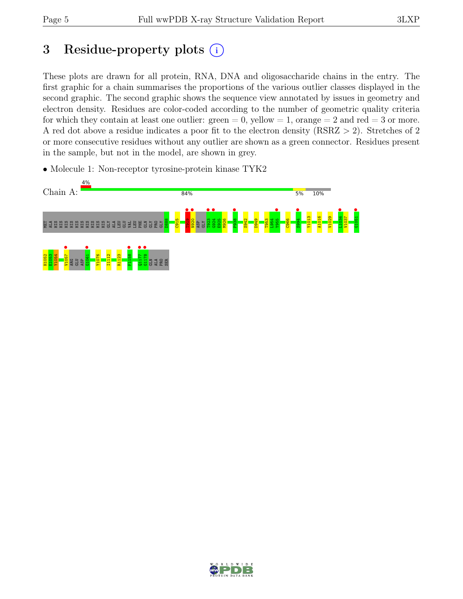# 3 Residue-property plots  $(i)$

These plots are drawn for all protein, RNA, DNA and oligosaccharide chains in the entry. The first graphic for a chain summarises the proportions of the various outlier classes displayed in the second graphic. The second graphic shows the sequence view annotated by issues in geometry and electron density. Residues are color-coded according to the number of geometric quality criteria for which they contain at least one outlier:  $green = 0$ , yellow  $= 1$ , orange  $= 2$  and red  $= 3$  or more. A red dot above a residue indicates a poor fit to the electron density (RSRZ > 2). Stretches of 2 or more consecutive residues without any outlier are shown as a green connector. Residues present in the sample, but not in the model, are shown in grey.

• Molecule 1: Non-receptor tyrosine-protein kinase TYK2



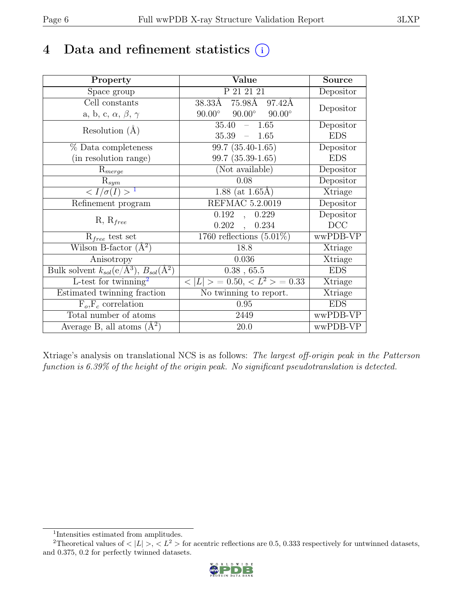# 4 Data and refinement statistics  $(i)$

| Property                                                         | Value                                            | <b>Source</b> |
|------------------------------------------------------------------|--------------------------------------------------|---------------|
| Space group                                                      | P 21 21 21                                       | Depositor     |
| Cell constants                                                   | $75.98\text{\AA}$<br>$38.33\text{\AA}$<br>97.42Å | Depositor     |
| a, b, c, $\alpha$ , $\beta$ , $\gamma$                           | $90.00^\circ$<br>$90.00^\circ$<br>$90.00^\circ$  |               |
| Resolution $(A)$                                                 | 35.40<br>1.65<br>$\equiv$                        | Depositor     |
|                                                                  | 35.39<br>$-1.65$                                 | <b>EDS</b>    |
| $%$ Data completeness                                            | $\overline{99.7}$ (35.40-1.65)                   | Depositor     |
| (in resolution range)                                            | 99.7 (35.39-1.65)                                | <b>EDS</b>    |
| $R_{merge}$                                                      | (Not available)                                  | Depositor     |
| $\mathrm{R}_{sym}$                                               | 0.08                                             | Depositor     |
| $\langle I/\sigma(I) \rangle$ <sup>1</sup>                       | 1.88 (at $1.65\text{\AA}$ )                      | Xtriage       |
| Refinement program                                               | REFMAC 5.2.0019                                  | Depositor     |
| $R, R_{free}$                                                    | 0.192<br>0.229<br>$\ddot{\phantom{0}}$           | Depositor     |
|                                                                  | 0.202<br>0.234<br>$\mathcal{A}$                  | DCC           |
| $R_{free}$ test set                                              | 1760 reflections $(5.01\%)$                      | wwPDB-VP      |
| Wilson B-factor $(A^2)$                                          | 18.8                                             | Xtriage       |
| Anisotropy                                                       | 0.036                                            | Xtriage       |
| Bulk solvent $k_{sol}(\text{e}/\text{A}^3), B_{sol}(\text{A}^2)$ | $0.38$ , 65.5                                    | <b>EDS</b>    |
| L-test for $\overline{\text{twinning}}^2$                        | $< L >$ = 0.50, $< L^2 >$ = 0.33                 | Xtriage       |
| Estimated twinning fraction                                      | $\overline{\text{No}}$ twinning to report.       | Xtriage       |
| $F_o, F_c$ correlation                                           | 0.95                                             | <b>EDS</b>    |
| Total number of atoms                                            | 2449                                             | wwPDB-VP      |
| Average B, all atoms $(A^2)$                                     | 20.0                                             | wwPDB-VP      |

Xtriage's analysis on translational NCS is as follows: The largest off-origin peak in the Patterson function is 6.39% of the height of the origin peak. No significant pseudotranslation is detected.

<sup>&</sup>lt;sup>2</sup>Theoretical values of  $\langle |L| \rangle$ ,  $\langle L^2 \rangle$  for acentric reflections are 0.5, 0.333 respectively for untwinned datasets, and 0.375, 0.2 for perfectly twinned datasets.



<span id="page-5-1"></span><span id="page-5-0"></span><sup>1</sup> Intensities estimated from amplitudes.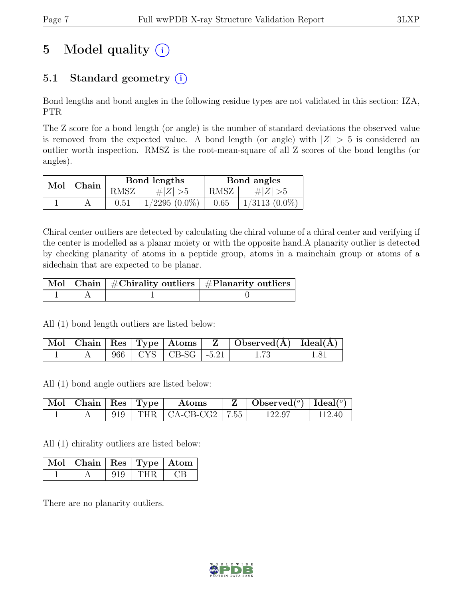# 5 Model quality  $(i)$

## 5.1 Standard geometry  $(i)$

Bond lengths and bond angles in the following residue types are not validated in this section: IZA, PTR

The Z score for a bond length (or angle) is the number of standard deviations the observed value is removed from the expected value. A bond length (or angle) with  $|Z| > 5$  is considered an outlier worth inspection. RMSZ is the root-mean-square of all Z scores of the bond lengths (or angles).

|               |      | Bond lengths       | Bond angles |                 |  |
|---------------|------|--------------------|-------------|-----------------|--|
| $Mol$   Chain | RMSZ | # $ Z  > 5$        | RMSZ        | # $ Z  > 5$     |  |
|               | 0.51 | $1/2295$ $(0.0\%)$ | 0.65        | $1/3113(0.0\%)$ |  |

Chiral center outliers are detected by calculating the chiral volume of a chiral center and verifying if the center is modelled as a planar moiety or with the opposite hand.A planarity outlier is detected by checking planarity of atoms in a peptide group, atoms in a mainchain group or atoms of a sidechain that are expected to be planar.

|  | $\mid$ Mol $\mid$ Chain $\mid$ #Chirality outliers $\mid$ #Planarity outliers $\mid$ |
|--|--------------------------------------------------------------------------------------|
|  |                                                                                      |

All (1) bond length outliers are listed below:

|  |  |                           | $\mid$ Mol $\mid$ Chain $\mid$ Res $\mid$ Type $\mid$ Atoms $\mid$ $\mid$ Z $\mid$ Observed(Å) $\mid$ Ideal(Å) $\mid$ |  |
|--|--|---------------------------|-----------------------------------------------------------------------------------------------------------------------|--|
|  |  | 966   CYS   CB-SG   -5.21 |                                                                                                                       |  |

All (1) bond angle outliers are listed below:

| $\sqrt{\text{Mol}}$   Chain   Res   Type |  | Atoms                          | $Z \parallel$ Observed <sup>(o)</sup> $\text{Ideal}^{\text{o}}$ |        |
|------------------------------------------|--|--------------------------------|-----------------------------------------------------------------|--------|
|                                          |  | 919   THR $ $ CA-CB-CG2   7.55 | 122.97                                                          | 112.40 |

All (1) chirality outliers are listed below:

| $\sqrt{\text{Mol}}$   Chain   Res   Type   Atom |     |  |
|-------------------------------------------------|-----|--|
|                                                 | THR |  |

There are no planarity outliers.

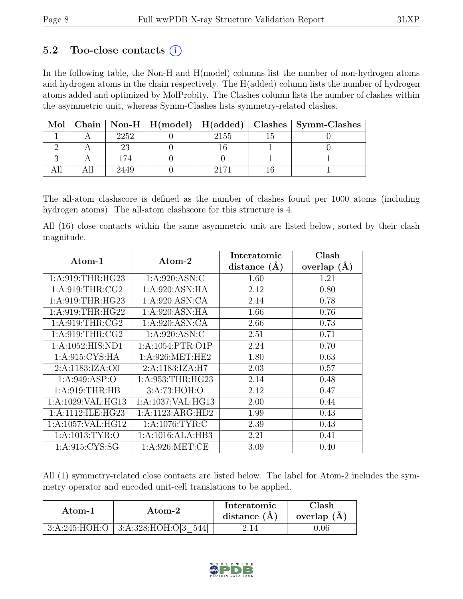### 5.2 Too-close contacts  $(i)$

In the following table, the Non-H and H(model) columns list the number of non-hydrogen atoms and hydrogen atoms in the chain respectively. The H(added) column lists the number of hydrogen atoms added and optimized by MolProbity. The Clashes column lists the number of clashes within the asymmetric unit, whereas Symm-Clashes lists symmetry-related clashes.

| Mol |      |      | Chain   Non-H   H(model)   H(added)   Clashes   Symm-Clashes |
|-----|------|------|--------------------------------------------------------------|
|     | 2252 | 2155 |                                                              |
|     |      |      |                                                              |
|     | 174  |      |                                                              |
|     | 2449 | 2171 |                                                              |

The all-atom clashscore is defined as the number of clashes found per 1000 atoms (including hydrogen atoms). The all-atom clashscore for this structure is 4.

All (16) close contacts within the same asymmetric unit are listed below, sorted by their clash magnitude.

| Atom-1               | Atom-2               | Interatomic      | Clash           |
|----------------------|----------------------|------------------|-----------------|
|                      |                      | distance $(\AA)$ | overlap $(\AA)$ |
| 1: A:919:THR:HG23    | 1: A:920: ASN: C     | 1.60             | 1.21            |
| 1: A:919:THR:CG2     | 1:A:920:ASN:HA       | 2.12             | 0.80            |
| 1:A:919:THR:HG23     | 1: A:920: ASN:CA     | 2.14             | 0.78            |
| 1: A:919:THR:HG22    | 1:A:920:ASN:HA       | 1.66             | 0.76            |
| 1: A:919:THR:CG2     | 1:A:920:ASN:CA       | 2.66             | 0.73            |
| 1: A:919:THR:CG2     | 1: A:920: ASN: C     | 2.51             | 0.71            |
| 1: A: 1052: HIS: ND1 | 1: A: 1054: PTR: O1P | 2.24             | 0.70            |
| 1:A:915:CYS:HA       | 1: A:926: MET:HE2    | 1.80             | 0.63            |
| 2: A:1183:IZA:OO     | 2:A:1183:IZA:H7      | 2.03             | 0.57            |
| 1: A:949: ASP:O      | 1: A:953:THR:HG23    | 2.14             | 0.48            |
| 1: A:919:THR:HB      | 3:A:73:HOH:O         | 2.12             | 0.47            |
| 1:A:1029:VAL:HG13    | 1:A:1037:VAL:HG13    | 2.00             | 0.44            |
| 1:A:1112:ILE:HG23    | 1:A:1123:ARG:HD2     | 1.99             | 0.43            |
| 1:A:1057:VAL:HG12    | 1: A:1076: TYR: C    | 2.39             | 0.43            |
| 1:A:1013:TYR:O       | 1:A:1016:ALA:HB3     | 2.21             | 0.41            |
| 1: A:915: CYS:SG     | 1: A:926: MET:CE     | 3.09             | 0.40            |

All (1) symmetry-related close contacts are listed below. The label for Atom-2 includes the symmetry operator and encoded unit-cell translations to be applied.

| Atom-2          |                            | Interatomic    | Clash         |
|-----------------|----------------------------|----------------|---------------|
| Atom-1          |                            | distance $(A)$ | overlap $(A)$ |
| 3: A:245: HOH:O | 3: A:328: HOH:O[3]<br>5441 |                | ).06          |

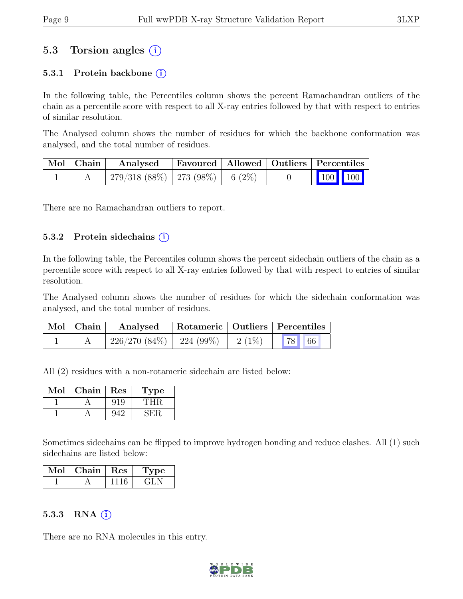### 5.3 Torsion angles  $(i)$

#### 5.3.1 Protein backbone  $(i)$

In the following table, the Percentiles column shows the percent Ramachandran outliers of the chain as a percentile score with respect to all X-ray entries followed by that with respect to entries of similar resolution.

The Analysed column shows the number of residues for which the backbone conformation was analysed, and the total number of residues.

| $\vert$ Mol $\vert$ Chain $\vert$ | Analysed                                |  | Favoured   Allowed   Outliers   Percentiles                                                                                                                                    |
|-----------------------------------|-----------------------------------------|--|--------------------------------------------------------------------------------------------------------------------------------------------------------------------------------|
|                                   | $279/318$ (88\%)   273 (98\%)   6 (2\%) |  | $\begin{array}{ c c c c c }\n\hline\n\multicolumn{1}{ c }{\hspace{1.2cm}100} & \multicolumn{1}{ c }{\hspace{1.2cm}100} & \multicolumn{1}{ c }{\hspace{1.2cm}100}\n\end{array}$ |

There are no Ramachandran outliers to report.

#### 5.3.2 Protein side chains  $(i)$

In the following table, the Percentiles column shows the percent sidechain outliers of the chain as a percentile score with respect to all X-ray entries followed by that with respect to entries of similar resolution.

The Analysed column shows the number of residues for which the sidechain conformation was analysed, and the total number of residues.

| $\mid$ Mol $\mid$ Chain $\mid$ | Analysed Rotameric   Outliers   Percentiles       |  |  |  |  |
|--------------------------------|---------------------------------------------------|--|--|--|--|
|                                | $\mid$ 226/270 (84%)   224 (99%)   2 (1%)   78 66 |  |  |  |  |

All (2) residues with a non-rotameric sidechain are listed below:

| Mol | ${\rm Chain}$ | Res | l'ype |
|-----|---------------|-----|-------|
|     |               |     |       |
|     |               |     |       |

Sometimes sidechains can be flipped to improve hydrogen bonding and reduce clashes. All (1) such sidechains are listed below:

| $Mol$   Chain   Res | 1 ype  |
|---------------------|--------|
|                     | . 11 1 |

#### 5.3.3 RNA  $(i)$

There are no RNA molecules in this entry.

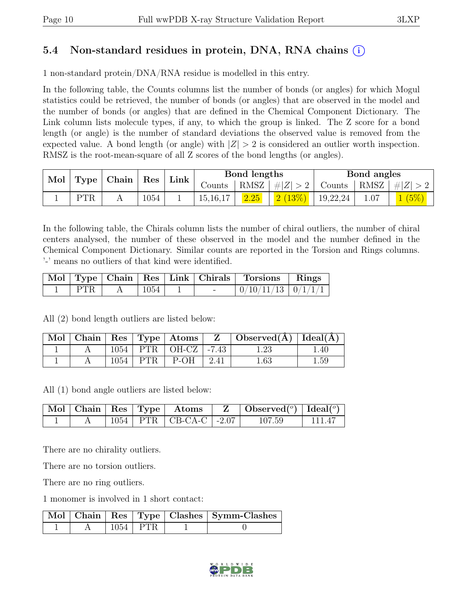### 5.4 Non-standard residues in protein, DNA, RNA chains (i)

1 non-standard protein/DNA/RNA residue is modelled in this entry.

In the following table, the Counts columns list the number of bonds (or angles) for which Mogul statistics could be retrieved, the number of bonds (or angles) that are observed in the model and the number of bonds (or angles) that are defined in the Chemical Component Dictionary. The Link column lists molecule types, if any, to which the group is linked. The Z score for a bond length (or angle) is the number of standard deviations the observed value is removed from the expected value. A bond length (or angle) with  $|Z| > 2$  is considered an outlier worth inspection. RMSZ is the root-mean-square of all Z scores of the bond lengths (or angles).

| Mol Type |     | $\vert$ Chain $\vert$ Res |      | Link |          | Bond lengths |                                                                   | Bond angles |       |
|----------|-----|---------------------------|------|------|----------|--------------|-------------------------------------------------------------------|-------------|-------|
|          |     |                           |      |      |          |              | Counts   RMSZ $\mid \#  Z  > 2$   Counts   RMSZ $\mid \#  Z  > 2$ |             |       |
|          | PTR |                           | 1054 |      | 15,16,17 | 2.25         | $2(13\%)$   19,22,24                                              | 1.07        | 1(5%) |

In the following table, the Chirals column lists the number of chiral outliers, the number of chiral centers analysed, the number of these observed in the model and the number defined in the Chemical Component Dictionary. Similar counts are reported in the Torsion and Rings columns. '-' means no outliers of that kind were identified.

|            |      | Mol   Type   Chain   Res   Link   Chirals | Torsions Rings           |  |
|------------|------|-------------------------------------------|--------------------------|--|
| <b>PTR</b> | 1054 |                                           | $0/10/11/13$   $0/1/1/1$ |  |

All (2) bond length outliers are listed below:

|  |  |                              | $\mid$ Mol $\mid$ Chain $\mid$ Res $\mid$ Type $\mid$ Atoms $\mid$ $\mid$ Z $\mid$ Observed(Å) $\mid$ Ideal(Å) $\mid$ |      |
|--|--|------------------------------|-----------------------------------------------------------------------------------------------------------------------|------|
|  |  | $1054$   PTR   OH-CZ   -7.43 |                                                                                                                       | 1.40 |
|  |  | $1054$   PTR   P-OH   2.41   | 1.63                                                                                                                  | 1.59 |

All (1) bond angle outliers are listed below:

|  |  |                                | $\boxed{\text{Mol} \mid \text{Chain} \mid \text{Res} \mid \text{Type} \mid \text{Atoms} \mid \text{Z} \mid \text{Observed}^{(o)} \mid \text{Ideal}^{(o)}}$ |        |
|--|--|--------------------------------|------------------------------------------------------------------------------------------------------------------------------------------------------------|--------|
|  |  | $1054$   PTR   CB-CA-C   -2.07 | 107.59                                                                                                                                                     | 111.47 |

There are no chirality outliers.

There are no torsion outliers.

There are no ring outliers.

1 monomer is involved in 1 short contact:

|  |            | Mol   Chain   Res   Type   Clashes   Symm-Clashes |
|--|------------|---------------------------------------------------|
|  | 1054   PTR |                                                   |

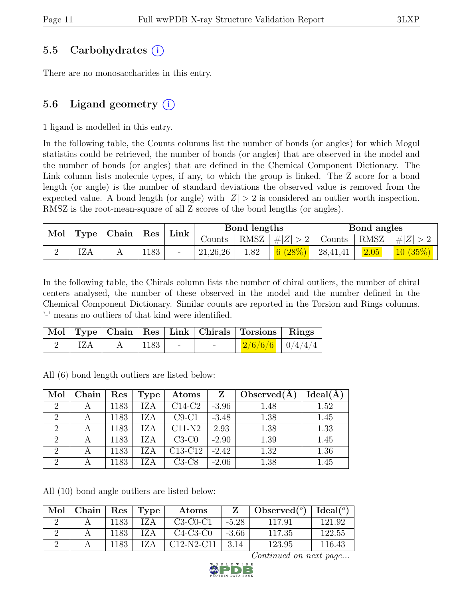### 5.5 Carbohydrates (i)

There are no monosaccharides in this entry.

### 5.6 Ligand geometry  $(i)$

1 ligand is modelled in this entry.

In the following table, the Counts columns list the number of bonds (or angles) for which Mogul statistics could be retrieved, the number of bonds (or angles) that are observed in the model and the number of bonds (or angles) that are defined in the Chemical Component Dictionary. The Link column lists molecule types, if any, to which the group is linked. The Z score for a bond length (or angle) is the number of standard deviations the observed value is removed from the expected value. A bond length (or angle) with  $|Z| > 2$  is considered an outlier worth inspection. RMSZ is the root-mean-square of all Z scores of the bond lengths (or angles).

| Mol   Type   Chain   Res |            | $^{\circ}$ Link | Bond lengths |            |      | Bond angles     |               |      |                    |
|--------------------------|------------|-----------------|--------------|------------|------|-----------------|---------------|------|--------------------|
|                          |            |                 |              | Counts     |      | RMSZ $ #Z  > 2$ | Counts   RMSZ |      | $\vert \#  Z  > 2$ |
|                          | <b>IZA</b> | 1183            |              | 21, 26, 26 | 1.82 | 6(28%)          | 28,41,41      | 2.05 | 10(35%)            |

In the following table, the Chirals column lists the number of chiral outliers, the number of chiral centers analysed, the number of these observed in the model and the number defined in the Chemical Component Dictionary. Similar counts are reported in the Torsion and Rings columns. '-' means no outliers of that kind were identified.

|     |          |  | Mol   Type   Chain   Res   Link   Chirals   Torsions   Rings |  |
|-----|----------|--|--------------------------------------------------------------|--|
| IZA | A   1183 |  | $2/6/6/6$   0/4/4/4                                          |  |

All (6) bond length outliers are listed below:

| Mol            | Chain | Res  | Type | $\rm{Atoms}$                     | Z       | Observed $(A)$ | Ideal(A) |
|----------------|-------|------|------|----------------------------------|---------|----------------|----------|
| $\overline{2}$ |       | 1183 | IZA  | $C14-C2$                         | $-3.96$ | 1.48           | 1.52     |
| $\overline{2}$ | А     | 1183 | IZA  | $C9-C1$                          | $-3.48$ | 1.38           | 1.45     |
| $\overline{2}$ | А     | 1183 | IZA  | $C11-N2$                         | 2.93    | 1.38           | 1.33     |
| $\overline{2}$ |       | 1183 | IZA  | $C3-C0$                          | $-2.90$ | 1.39           | 1.45     |
| 2              |       | 1183 | IZA  | C <sub>13</sub> -C <sub>12</sub> | $-2.42$ | 1.32           | 1.36     |
| $\overline{2}$ | А     | 1183 | IZA  | $C3-C8$                          | $-2.06$ | 1.38           | 1.45     |

All (10) bond angle outliers are listed below:

| Mol | Chain |      | Res   Type | Atoms        |         | Observed $(°)$ | Ideal( $^o$ ) |
|-----|-------|------|------------|--------------|---------|----------------|---------------|
|     |       | 1183 | IZA        | $C3-C0-C1$   | $-5.28$ | 117.91         | 121.92        |
|     |       | 1183 | IZA        | $C4-C3-C0$   | $-3.66$ | 117.35         | 122.55        |
|     |       | 1183 | IZA        | $C12-N2-C11$ | 3.14    | 123.95         | 116.43        |

Continued on next page...

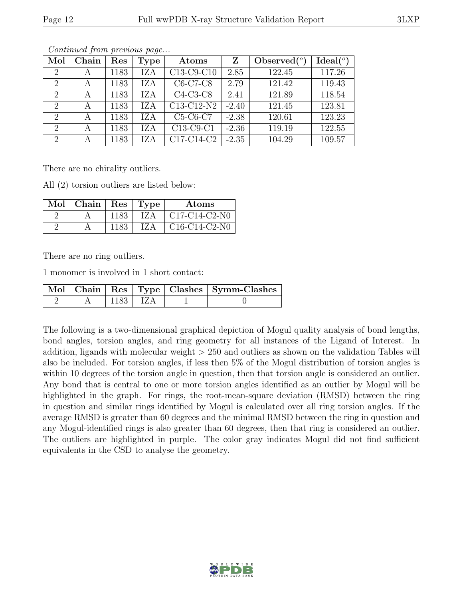| Mol            | Chain | Res  | <b>Type</b> | Atoms                                            | Z       | Observed $(°)$ | Ideal $(°)$ |
|----------------|-------|------|-------------|--------------------------------------------------|---------|----------------|-------------|
| $\overline{2}$ | А     | 1183 | IZA         | C13-C9-C10                                       | 2.85    | 122.45         | 117.26      |
| $\overline{2}$ | А     | 1183 | IZA         | C6-C7-C8                                         | 2.79    | 121.42         | 119.43      |
| 2              | А     | 1183 | IZA         | $C4-C3-C8$                                       | 2.41    | 121.89         | 118.54      |
| $\overline{2}$ | А     | 1183 | IZA         | C13-C12-N2                                       | $-2.40$ | 121.45         | 123.81      |
| 2              | A     | 1183 | IZA         | $C5-C6-C7$                                       | $-2.38$ | 120.61         | 123.23      |
| 2              | А     | 1183 | <b>IZA</b>  | C13-C9-C1                                        | $-2.36$ | 119.19         | 122.55      |
| 2              | А     | 1183 | IZA         | C <sub>17</sub> -C <sub>14</sub> -C <sub>2</sub> | $-2.35$ | 104.29         | 109.57      |

Continued from previous page...

There are no chirality outliers.

All (2) torsion outliers are listed below:

| $\text{Mol}$   Chain |      | Res   Type | Atoms           |
|----------------------|------|------------|-----------------|
|                      | 1183 | IZ A       | $C17-C14-C2-N0$ |
|                      | 1183 | IZ A       | $C16-C14-C2-N0$ |

There are no ring outliers.

1 monomer is involved in 1 short contact:

|  |       |  | Mol   Chain   Res   Type   Clashes   Symm-Clashes |
|--|-------|--|---------------------------------------------------|
|  | 1183- |  |                                                   |

The following is a two-dimensional graphical depiction of Mogul quality analysis of bond lengths, bond angles, torsion angles, and ring geometry for all instances of the Ligand of Interest. In addition, ligands with molecular weight  $> 250$  and outliers as shown on the validation Tables will also be included. For torsion angles, if less then 5% of the Mogul distribution of torsion angles is within 10 degrees of the torsion angle in question, then that torsion angle is considered an outlier. Any bond that is central to one or more torsion angles identified as an outlier by Mogul will be highlighted in the graph. For rings, the root-mean-square deviation (RMSD) between the ring in question and similar rings identified by Mogul is calculated over all ring torsion angles. If the average RMSD is greater than 60 degrees and the minimal RMSD between the ring in question and any Mogul-identified rings is also greater than 60 degrees, then that ring is considered an outlier. The outliers are highlighted in purple. The color gray indicates Mogul did not find sufficient equivalents in the CSD to analyse the geometry.

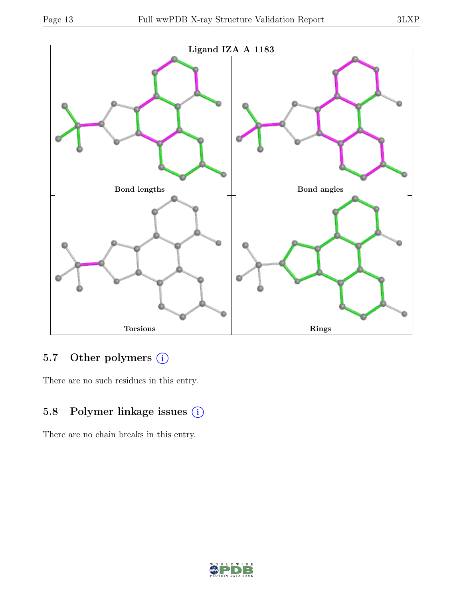

## 5.7 Other polymers (i)

There are no such residues in this entry.

## 5.8 Polymer linkage issues (i)

There are no chain breaks in this entry.

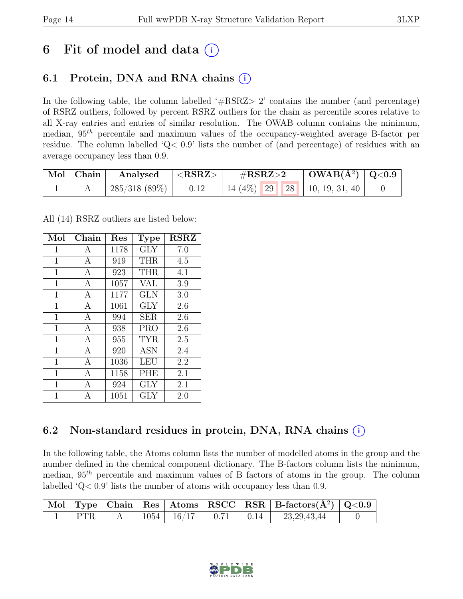# 6 Fit of model and data  $(i)$

### 6.1 Protein, DNA and RNA chains  $(i)$

In the following table, the column labelled  $#RSRZ>2$  contains the number (and percentage) of RSRZ outliers, followed by percent RSRZ outliers for the chain as percentile scores relative to all X-ray entries and entries of similar resolution. The OWAB column contains the minimum, median,  $95<sup>th</sup>$  percentile and maximum values of the occupancy-weighted average B-factor per residue. The column labelled 'Q< 0.9' lists the number of (and percentage) of residues with an average occupancy less than 0.9.

| $\mid$ Mol $\mid$ Chain | Analysed      | $ \langle \mathrm{RSRZ}\rangle $ | $\#\text{RSRZ}\text{>2}$            | $\mid$ OWAB(Å <sup>2</sup> ) $\mid$ Q<0.9 |  |
|-------------------------|---------------|----------------------------------|-------------------------------------|-------------------------------------------|--|
|                         | 285/318 (89%) | 0.12                             | 14 (4\%)   29   28   10, 19, 31, 40 |                                           |  |

All (14) RSRZ outliers are listed below:

| Mol         | Chain        | Res  | <b>Type</b> | <b>RSRZ</b> |
|-------------|--------------|------|-------------|-------------|
| $\mathbf 1$ | А            | 1178 | <b>GLY</b>  | 7.0         |
| $\mathbf 1$ | А            | 919  | <b>THR</b>  | 4.5         |
| $\mathbf 1$ | A            | 923  | THR         | 4.1         |
| $\mathbf 1$ | A            | 1057 | VAL         | 3.9         |
| $\mathbf 1$ | А            | 1177 | <b>GLN</b>  | 3.0         |
| 1           | А            | 1061 | <b>GLY</b>  | 2.6         |
| $\mathbf 1$ | A            | 994  | <b>SER</b>  | 2.6         |
| 1           | A            | 938  | <b>PRO</b>  | 2.6         |
| 1           | A            | 955  | <b>TYR</b>  | 2.5         |
| $\mathbf 1$ | $\mathbf{A}$ | 920  | ASN         | 2.4         |
| 1           | A            | 1036 | LEU         | 2.2         |
| 1           | A            | 1158 | <b>PHE</b>  | 2.1         |
| 1           | А            | 924  | GLY         | 2.1         |
| 1           | A            | 1051 | <b>GLY</b>  | 2.0         |

## 6.2 Non-standard residues in protein, DNA, RNA chains (i)

In the following table, the Atoms column lists the number of modelled atoms in the group and the number defined in the chemical component dictionary. The B-factors column lists the minimum, median,  $95<sup>th</sup>$  percentile and maximum values of B factors of atoms in the group. The column labelled 'Q< 0.9' lists the number of atoms with occupancy less than 0.9.

|              |  |                                                 |  | Mol   Type   Chain   Res   Atoms   RSCC   RSR   B-factors $(A^2)$   Q<0.9 |  |
|--------------|--|-------------------------------------------------|--|---------------------------------------------------------------------------|--|
| $\text{PTR}$ |  | $\mid 1054 \mid 16/17 \mid 0.71 \mid 0.14 \mid$ |  | 23, 29, 43, 44                                                            |  |

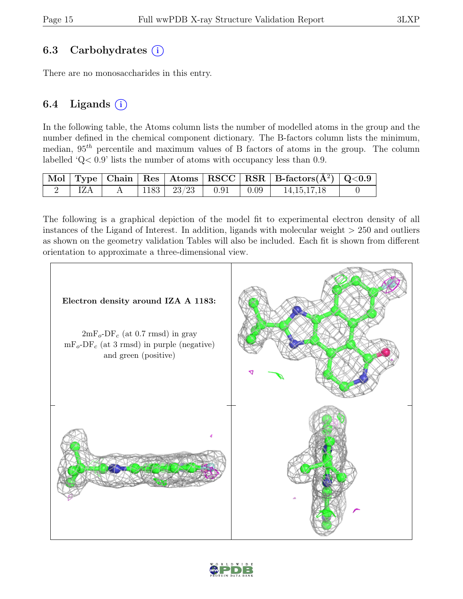### 6.3 Carbohydrates  $(i)$

There are no monosaccharides in this entry.

### 6.4 Ligands  $(i)$

In the following table, the Atoms column lists the number of modelled atoms in the group and the number defined in the chemical component dictionary. The B-factors column lists the minimum, median,  $95<sup>th</sup>$  percentile and maximum values of B factors of atoms in the group. The column labelled 'Q< 0.9' lists the number of atoms with occupancy less than 0.9.

|     |  |                                  |  | $\boxed{\text{Mol}}$ Type   Chain   Res   Atoms   RSCC   RSR   B-factors $(\AA^2)$   Q<0.9 |  |
|-----|--|----------------------------------|--|--------------------------------------------------------------------------------------------|--|
| IZA |  | A   1183   $23/23$   0.91   0.09 |  | 14, 15, 17, 18                                                                             |  |

The following is a graphical depiction of the model fit to experimental electron density of all instances of the Ligand of Interest. In addition, ligands with molecular weight > 250 and outliers as shown on the geometry validation Tables will also be included. Each fit is shown from different orientation to approximate a three-dimensional view.